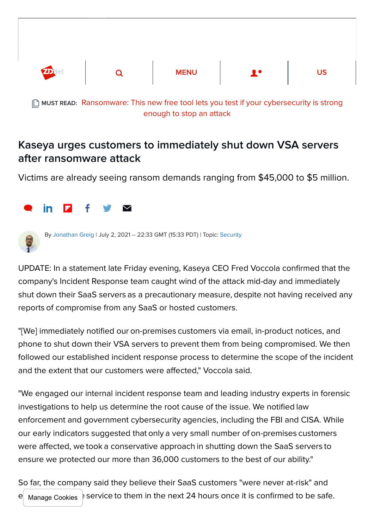

MUST READ: [Ransomware: This new free tool lets you test if your cybersecurity is strong](https://www.zdnet.com/article/ransomware-this-new-free-tool-lets-you-test-if-your-cybersecurity-is-strong-enough-to-stop-an-attack/) enough to stop an attack

## Kaseya urges customers to immediately shut down VSA servers after ransomware attack

Victims are already seeing ransom demands ranging from \$45,000 to \$5 million.





By [Jonathan Greig](https://www.zdnet.com/meet-the-team/us/jonathanegreig/) | July 2, 2021 -- 22:33 GMT (15:33 PDT) | Topic: [Security](https://www.zdnet.com/topic/security/)

UPDATE: In a statement late Friday evening, Kaseya CEO Fred Voccola confirmed that the company's Incident Response team caught wind of the attack mid-day and immediately shut down their SaaS servers as a precautionary measure, despite not having received any reports of compromise from any SaaS or hosted customers.

"[We] immediately notified our on-premises customers via email, in-product notices, and phone to shut down their VSA servers to prevent them from being compromised. We then followed our established incident response process to determine the scope of the incident and the extent that our customers were affected," Voccola said.

"We engaged our internal incident response team and leading industry experts in forensic investigations to help us determine the root cause of the issue. We notified law enforcement and government cybersecurity agencies, including the FBI and CISA. While our early indicators suggested that only a very small number of on-premises customers were affected, we took a conservative approach in shutting down the SaaS servers to ensure we protected our more than 36,000 customers to the best of our ability."  

So far, the company said they believe their SaaS customers "were never at-risk" and e Manage Cookies service to them in the next 24 hours once it is confirmed to be safe.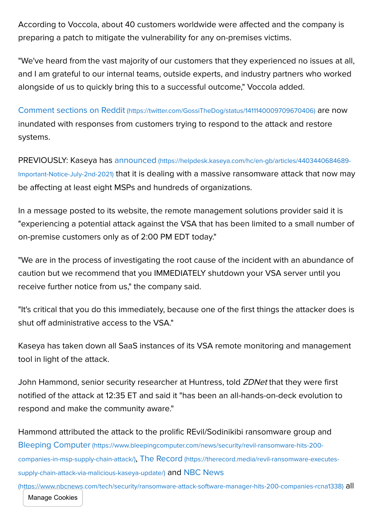According to Voccola, about 40 customers worldwide were affected and the company is preparing a patch to mitigate the vulnerability for any on-premises victims.

"We've heard from the vast majority of our customers that they experienced no issues at all, and I am grateful to our internal teams, outside experts, and industry partners who worked alongside of us to quickly bring this to a successful outcome," Voccola added.

Comment sections on Reddit [\(https://twitter.com/GossiTheDog/status/1411140009709670406\)](https://twitter.com/GossiTheDog/status/1411140009709670406) are now inundated with responses from customers trying to respond to the attack and restore systems.

PREVIOUSLY: Kaseya has announced (https://helpdesk.kaseya.com/hc/en-gb/articles/4403440684689- Important-Notice-July-2nd-2021) [that it is dealing with a massive ransomware attack that now may](https://helpdesk.kaseya.com/hc/en-gb/articles/4403440684689-Important-Notice-July-2nd-2021) be affecting at least eight MSPs and hundreds of organizations.

In a message posted to its website, the remote management solutions provider said it is "experiencing a potential attack against the VSA that has been limited to a small number of on-premise customers only as of 2:00 PM EDT today."

"We are in the process of investigating the root cause of the incident with an abundance of caution but we recommend that you IMMEDIATELY shutdown your VSA server until you receive further notice from us," the company said.

"It's critical that you do this immediately, because one of the first things the attacker does is shut off administrative access to the VSA."

Kaseya has taken down all SaaS instances of its VSA remote monitoring and management tool in light of the attack.

John Hammond, senior security researcher at Huntress, told *ZDNet* that they were first notified of the attack at 12:35 ET and said it "has been an all-hands-on-deck evolution to respond and make the community aware."

Hammond attributed the attack to the prolific REvil/Sodinikibi ransomware group and Bleeping Computer [\(https://www.bleepingcomputer.com/news/security/revil-ransomware-hits-200](https://www.bleepingcomputer.com/news/security/revil-ransomware-hits-200-companies-in-msp-supply-chain-attack/) companies-in-msp-supply-chain-attack/), The Record [\(https://therecord.media/revil-ransomware-executes](https://therecord.media/revil-ransomware-executes-supply-chain-attack-via-malicious-kaseya-update/)supply-chain-attack-via-malicious-kaseya-update/) and NBC News

[\(https://www.nbcnews.com/tech/security/ransomware-attack-software-manager-hits-200-companies-rcna1338\)](https://www.nbcnews.com/tech/security/ransomware-attack-software-manager-hits-200-companies-rcna1338) all Manage Cookies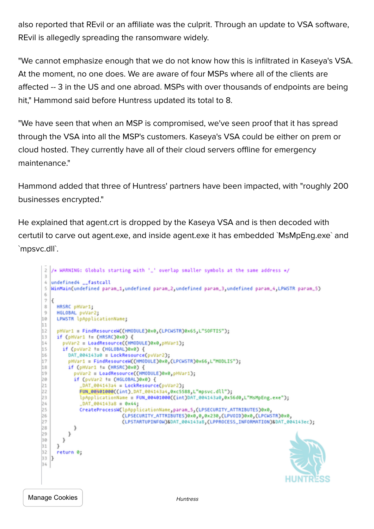also reported that REvil or an affiliate was the culprit. Through an update to VSA software, REvil is allegedly spreading the ransomware widely.

"We cannot emphasize enough that we do not know how this is infiltrated in Kaseya's VSA. At the moment, no one does. We are aware of four MSPs where all of the clients are affected -- 3 in the US and one abroad. MSPs with over thousands of endpoints are being hit," Hammond said before Huntress updated its total to 8.

"We have seen that when an MSP is compromised, we've seen proof that it has spread through the VSA into all the MSP's customers. Kaseya's VSA could be either on prem or cloud hosted. They currently have all of their cloud servers offline for emergency maintenance."

Hammond added that three of Huntress' partners have been impacted, with "roughly 200 businesses encrypted."

He explained that agent.crt is dropped by the Kaseya VSA and is then decoded with certutil to carve out agent.exe, and inside agent.exe it has embedded `MsMpEng.exe` and `mpsvc.dll`.

```
\overline{z}/* WARNING: Globals starting with '_' overlap smaller symbols at the same address */
\overline{3}\mathcal{L}_{\rm s}undefined4 __ fastcall
   WinMain(undefined param_1,undefined param_2,undefined param_3,undefined param_4,LPWSTR param_5)
5
6
7<sup>1</sup>\bar{3}HRSRC pHVar1;
\overline{9}HGLOBAL puVar2;
10
    LPWSTR lpApplicationName;
11
      pHVar1 = FindResourceW((HMODULE)0x0,(LPCWSTR)0x65,L"SOFTIS");
12
     if (pHVar1 != (HRSRC)0x0) {
13
14
        pvVar2 = LoadResource((HMODULE)0x0,pHVar1);
15
        if (pvVar2 != (HGLOBAL)0x0) {
16
          DAT_004143a0 = LockResource(pvVar2);
17
          pHVar1 = FindResourceW((HMODULE)0x0,(LPCWSTR)0x66,L"MODLIS");
18
          if (pHVar1 != (HRSRC)0x0) {
19
            pvVar2 = LoadResource((HMODULE)0x0,pHVar1);
            if (pvVar2 != (M6LOBAL)0x0) {
20_DAT_004143a4 = LockResource(pvVar2);
21
              FUN_00401000((int)_DAT_004143a4,0xc5588,L"mpsvc.dll");
22
23lpApplicationName = FUN_00401000((int)DAT_004143a0,0x56d0,L"MsMpEng.exe");
24
               _DAT_004143a8 = 0x4425
              CreateProcessH(lpApplicationName.param_5.(LPSECURITY_ATTRIBUTES)0x0,
26
                               (LPSECURITY_ATTRIBUTES)0x0,0,0x230,(LPV0ID)0x0,(LPCWSTR)0x0,
\overline{27}(LPSTARTUPINFOW)&DAT_004143a8.(LPPROCESS_INFORMATION)&DAT_004143ec);
28
            3
29
          \mathcal{F}30
       \mathbf{I}31
     \mathbf{1}32
     return 0;
   l3
33
34
                                                                                               HUNTR
```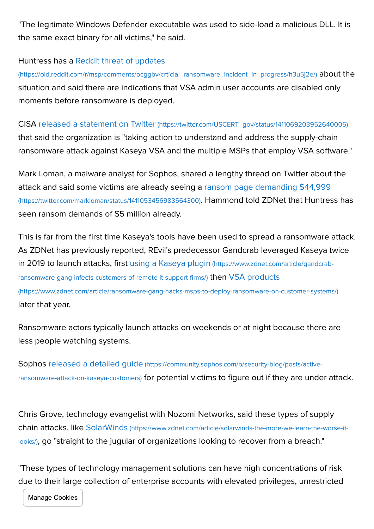"The legitimate Windows Defender executable was used to side-load a malicious DLL. It is the same exact binary for all victims," he said.

## Huntress has a Reddit threat of updates

[\(https://old.reddit.com/r/msp/comments/ocggbv/crticial\\_ransomware\\_incident\\_in\\_progress/h3u5j2e/\)](https://old.reddit.com/r/msp/comments/ocggbv/crticial_ransomware_incident_in_progress/h3u5j2e/) about the situation and said there are indications that VSA admin user accounts are disabled only moments before ransomware is deployed.

## CISA released a statement on Twitter [\(https://twitter.com/USCERT\\_gov/status/1411069203952640005\)](https://twitter.com/USCERT_gov/status/1411069203952640005)

that said the organization is "taking action to understand and address the supply-chain ransomware attack against Kaseya VSA and the multiple MSPs that employ VSA software."

Mark Loman, a malware analyst for Sophos, shared a lengthy thread on Twitter about the [attack and said some victims are already seeing a ransom page demanding \\$44,999](https://twitter.com/markloman/status/1411053456983564300) (https://twitter.com/markloman/status/1411053456983564300). Hammond told ZDNet that Huntress has seen ransom demands of \$5 million already.

This is far from the first time Kaseya's tools have been used to spread a ransomware attack. As ZDNet has previously reported, REvil's predecessor Gandcrab leveraged Kaseya twice [in 2019 to launch attacks, first using a Kaseya plugin](https://www.zdnet.com/article/gandcrab-ransomware-gang-infects-customers-of-remote-it-support-firms/) (https://www.zdnet.com/article/gandcrabransomware-gang-infects-customers-of-remote-it-support-firms/) then VSA products [\(https://www.zdnet.com/article/ransomware-gang-hacks-msps-to-deploy-ransomware-on-customer-systems/\)](https://www.zdnet.com/article/ransomware-gang-hacks-msps-to-deploy-ransomware-on-customer-systems/) later that year.

Ransomware actors typically launch attacks on weekends or at night because there are less people watching systems.

Sophos released a detailed quide (https://community.sophos.com/b/security-blog/posts/activeransomware-attack-on-kaseya-customers) [for potential victims to figure out if they are unde](https://community.sophos.com/b/security-blog/posts/active-ransomware-attack-on-kaseya-customers)r attack.

Chris Grove, technology evangelist with Nozomi Networks, said these types of supply chain attacks, like SolarWinds (https://www.zdnet.com/article/solarwinds-the-more-we-learn-the-worse-itlooks/)[, go "straight to the jugular of organizations looking to recover from a breach."](https://www.zdnet.com/article/solarwinds-the-more-we-learn-the-worse-it-looks/)

"These types of technology management solutions can have high concentrations of risk due to their large collection of enterprise accounts with elevated privileges, unrestricted